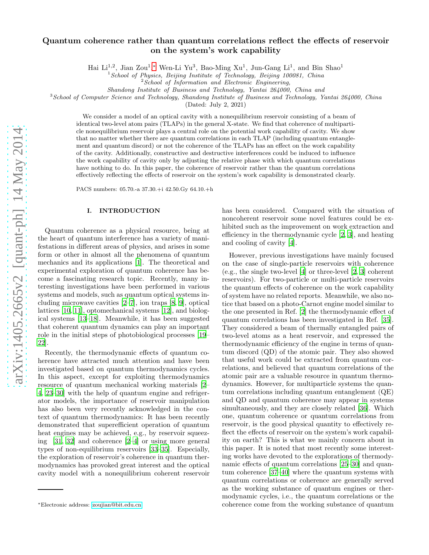# Quantum coherence rather than quantum correlations reflect the effects of reservoir on the system's work capability

Hai Li<sup>1,2</sup>, Jian Zou<sup>1</sup>,\* Wen-Li Yu<sup>3</sup>, Bao-Ming Xu<sup>1</sup>, Jun-Gang Li<sup>1</sup>, and Bin Shao<sup>1</sup>

Shandong Institute of Business and Technology, Yantai 264000, China and

<sup>3</sup>School of Computer Science and Technology, Shandong Institute of Business and Technology, Yantai 264000, China

(Dated: July 2, 2021)

We consider a model of an optical cavity with a nonequilibrium reservoir consisting of a beam of identical two-level atom pairs (TLAPs) in the general X-state. We find that coherence of multiparticle nonequilibrium reservoir plays a central role on the potential work capability of cavity. We show that no matter whether there are quantum correlations in each TLAP (including quantum entanglement and quantum discord) or not the coherence of the TLAPs has an effect on the work capability of the cavity. Additionally, constructive and destructive interferences could be induced to influence the work capability of cavity only by adjusting the relative phase with which quantum correlations have nothing to do. In this paper, the coherence of reservoir rather than the quantum correlations effectively reflecting the effects of reservoir on the system's work capability is demonstrated clearly.

PACS numbers: 05.70.-a 37.30.+i 42.50.Gy 64.10.+h

#### I. INTRODUCTION

Quantum coherence as a physical resource, being at the heart of quantum interference has a variety of manifestations in different areas of physics, and arises in some form or other in almost all the phenomena of quantum mechanics and its applications [\[1](#page-10-0)]. The theoretical and experimental exploration of quantum coherence has become a fascinating research topic. Recently, many interesting investigations have been performed in various systems and models, such as quantum optical systems including microwave cavities [\[2](#page-10-1)[–7\]](#page-10-2), ion traps [\[8,](#page-10-3) [9\]](#page-10-4), optical lattices [\[10](#page-10-5), [11\]](#page-10-6), optomechanical systems [\[12\]](#page-10-7), and biological systems [\[13](#page-10-8)[–18\]](#page-10-9). Meanwhile, it has been suggested that coherent quantum dynamics can play an important role in the initial steps of photobiological processes [\[19](#page-10-10)– [22\]](#page-10-11).

Recently, the thermodynamic effects of quantum coherence have attracted much attention and have been investigated based on quantum thermodynamics cycles. In this aspect, except for exploiting thermodynamics resource of quantum mechanical working materials [\[2](#page-10-1)– [4](#page-10-12), [23](#page-10-13)[–30](#page-10-14)] with the help of quantum engine and refrigerator models, the importance of reservoir manipulation has also been very recently acknowledged in the context of quantum thermodynamics: It has been recently demonstrated that superefficient operation of quantum heat engines may be achieved, e.g., by reservoir squeezing [\[31](#page-11-0), [32\]](#page-11-1) and coherence [\[2](#page-10-1)[–4\]](#page-10-12) or using more general types of non-equilibrium reservoirs [\[33](#page-11-2)[–35](#page-11-3)]. Especially, the exploration of reservoir's coherence in quantum thermodynamics has provoked great interest and the optical cavity model with a nonequilibrium coherent reservoir

has been considered. Compared with the situation of noncoherent reservoir some novel features could be exhibited such as the improvement on work extraction and efficiency in the thermodynamic cycle [\[2](#page-10-1), [3](#page-10-15)], and heating and cooling of cavity [\[4\]](#page-10-12).

However, previous investigations have mainly focused on the case of single-particle reservoirs with coherence (e.g., the single two-level [\[4](#page-10-12)] or three-level [\[2,](#page-10-1) [3](#page-10-15)] coherent reservoirs). For two-particle or multi-particle reservoirs the quantum effects of coherence on the work capability of system have no related reports. Meanwhile, we also notice that based on a photo-Carnot engine model similar to the one presented in Ref. [\[2\]](#page-10-1) the thermodynamic effect of quantum correlations has been investigated in Ref. [\[35\]](#page-11-3). They considered a beam of thermally entangled pairs of two-level atoms as a heat reservoir, and expressed the thermodynamic efficiency of the engine in terms of quantum discord (QD) of the atomic pair. They also showed that useful work could be extracted from quantum correlations, and believed that quantum correlations of the atomic pair are a valuable resource in quantum thermodynamics. However, for multiparticle systems the quantum correlations including quantum entanglement (QE) and QD and quantum coherence may appear in systems simultaneously, and they are closely related [\[36\]](#page-11-4). Which one, quantum coherence or quantum correlations from reservoir, is the good physical quantity to effectively reflect the effects of reservoir on the system's work capability on earth? This is what we mainly concern about in this paper. It is noted that most recently some interesting works have devoted to the explorations of thermodynamic effects of quantum correlations [\[25](#page-10-16)[–30\]](#page-10-14) and quantum coherence [\[37](#page-11-5)[–40](#page-11-6)] where the quantum systems with quantum correlations or coherence are generally served as the working substance of quantum engines or thermodynamic cycles, i.e., the quantum correlations or the coherence come from the working substance of quantum

 $1$  School of Physics, Beijing Institute of Technology, Beijing 100081, China

 $2$ School of Information and Electronic Engineering,

<span id="page-0-0"></span><sup>∗</sup>Electronic address: [zoujian@bit.edu.cn](mailto:zoujian@bit.edu.cn)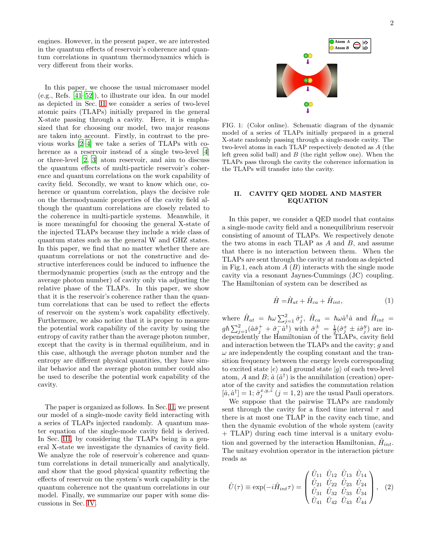engines. However, in the present paper, we are interested in the quantum effects of reservoir's coherence and quantum correlations in quantum thermodynamics which is very different from their works.

In this paper, we choose the usual micromaser model (e.g., Refs. [\[41](#page-11-7)[–52\]](#page-11-8)), to illustrate our idea. In our model as depicted in Sec. [II](#page-1-0) we consider a series of two-level atomic pairs (TLAPs) initially prepared in the general X-state passing through a cavity. Here, it is emphasized that for choosing our model, two major reasons are taken into account. Firstly, in contrast to the previous works [\[2](#page-10-1)[–4\]](#page-10-12) we take a series of TLAPs with coherence as a reservoir instead of a single two-level [\[4](#page-10-12)] or three-level [\[2](#page-10-1), [3\]](#page-10-15) atom reservoir, and aim to discuss the quantum effects of multi-particle reservoir's coherence and quantum correlations on the work capability of cavity field. Secondly, we want to know which one, coherence or quantum correlation, plays the decisive role on the thermodynamic properties of the cavity field although the quantum correlations are closely related to the coherence in multi-particle systems. Meanwhile, it is more meaningful for choosing the general X-state of the injected TLAPs because they include a wide class of quantum states such as the general W and GHZ states. In this paper, we find that no matter whether there are quantum correlations or not the constructive and destructive interferences could be induced to influence the thermodynamic properties (such as the entropy and the average photon number) of cavity only via adjusting the relative phase of the TLAPs. In this paper, we show that it is the reservoir's coherence rather than the quantum correlations that can be used to reflect the effects of reservoir on the system's work capability effectively. Furthermore, we also notice that it is proper to measure the potential work capability of the cavity by using the entropy of cavity rather than the average photon number, except that the cavity is in thermal equilibrium, and in this case, although the average photon number and the entropy are different physical quantities, they have similar behavior and the average photon number could also be used to describe the potential work capability of the cavity.

The paper is organized as follows. In Sec. [II,](#page-1-0) we present our model of a single-mode cavity field interacting with a series of TLAPs injected randomly. A quantum master equation of the single-mode cavity field is derived. In Sec. [III,](#page-2-0) by considering the TLAPs being in a general X-state we investigate the dynamics of cavity field. We analyze the role of reservoir's coherence and quantum correlations in detail numerically and analytically, and show that the good physical quantity reflecting the effects of reservoir on the system's work capability is the quantum coherence not the quantum correlations in our model. Finally, we summarize our paper with some discussions in Sec. [IV.](#page-9-0)



FIG. 1: (Color online). Schematic diagram of the dynamic model of a series of TLAPs initially prepared in a general X-state randomly passing through a single-mode cavity. The two-level atoms in each TLAP respectively denoted as A (the left green solid ball) and  $B$  (the right yellow one). When the TLAPs pass through the cavity the coherence information in the TLAPs will transfer into the cavity.

## <span id="page-1-0"></span>II. CAVITY QED MODEL AND MASTER EQUATION

In this paper, we consider a QED model that contains a single-mode cavity field and a nonequilibrium reservoir consisting of amount of TLAPs. We respectively denote the two atoms in each TLAP as  $A$  and  $B$ , and assume that there is no interaction between them. When the TLAPs are sent through the cavity at random as depicted in Fig.1, each atom  $A(B)$  interacts with the single mode cavity via a resonant Jaynes-Cummings (JC) coupling. The Hamiltonian of system can be described as

$$
\hat{H} = \hat{H}_{at} + \hat{H}_{ca} + \hat{H}_{int},\tag{1}
$$

where  $\hat{H}_{at} = \hbar \omega \sum_{j=1}^{2} \hat{\sigma}_{j}^{z}$ ,  $\hat{H}_{ca} = \hbar \omega \hat{a}^{\dagger} \hat{a}$  and  $\hat{H}_{int} =$  $g\hbar\sum_{j=1}^{2}(\hat{a}\hat{\sigma}_{j}^{+}+\hat{\sigma}_{j}^{-}\hat{a}^{\dagger})$  with  $\hat{\sigma}_{j}^{\pm}=\frac{1}{2}(\hat{\sigma}_{j}^{x}\pm i\hat{\sigma}_{j}^{y})$  are independently the Hamiltonian of the TLAPs, cavity field and interaction between the TLAPs and the cavity; g and  $\omega$  are independently the coupling constant and the transition frequency between the energy levels corresponding to excited state  $|e\rangle$  and ground state  $|g\rangle$  of each two-level atom, A and B;  $\hat{a}$  ( $\hat{a}^{\dagger}$ ) is the annihilation (creation) operator of the cavity and satisfies the commutation relation  $[\hat{a}, \hat{a}^{\dagger}] = 1$ ;  $\hat{\sigma}_j^{x,y,z}$   $(j = 1, 2)$  are the usual Pauli operators.

We suppose that the pairwise TLAPs are randomly sent through the cavity for a fixed time interval  $\tau$  and there is at most one TLAP in the cavity each time, and then the dynamic evolution of the whole system (cavity + TLAP) during each time interval is a unitary evolution and governed by the interaction Hamiltonian,  $\hat{H}_{int}$ . The unitary evolution operator in the interaction picture reads as

<span id="page-1-1"></span>
$$
\hat{U}(\tau) \equiv \exp(-i\hat{H}_{int}\tau) = \begin{pmatrix} \hat{U}_{11} & \hat{U}_{12} & \hat{U}_{13} & \hat{U}_{14} \\ \hat{U}_{21} & \hat{U}_{22} & \hat{U}_{23} & \hat{U}_{24} \\ \hat{U}_{31} & \hat{U}_{32} & \hat{U}_{33} & \hat{U}_{34} \\ \hat{U}_{41} & \hat{U}_{42} & \hat{U}_{43} & \hat{U}_{44} \end{pmatrix}, \quad (2)
$$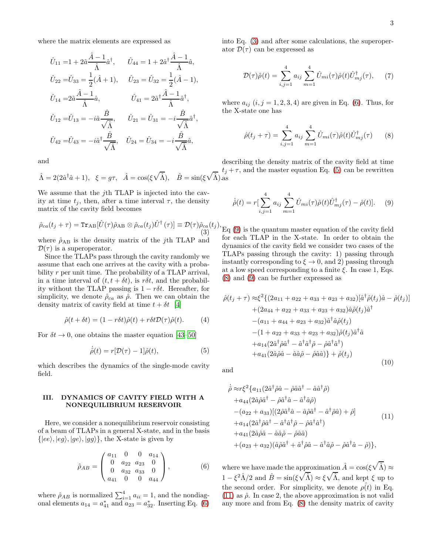where the matrix elements are expressed as

$$
\begin{aligned} \hat{U}_{11}=&1+2\hat{a}\frac{\hat{A}-1}{\hat{\Lambda}}\hat{a}^{\dagger}, & \quad \hat{U}_{44}=&1+2\hat{a}^{\dagger}\frac{\hat{A}-1}{\hat{\Lambda}}\hat{a},\\ \hat{U}_{22}=&\hat{U}_{33}=\frac{1}{2}(\hat{A}+1), & \quad \hat{U}_{23}=&\hat{U}_{32}=\frac{1}{2}(\hat{A}-1),\\ \hat{U}_{14}=&2\hat{a}\frac{\hat{A}-1}{\hat{\Lambda}}\hat{a}, & \quad \hat{U}_{41}=2\hat{a}^{\dagger}\frac{\hat{A}-1}{\hat{\Lambda}}\hat{a}^{\dagger},\\ \hat{U}_{12}=&\hat{U}_{13}=-i\hat{a}\frac{\hat{B}}{\sqrt{\hat{\Lambda}}}, & \quad \hat{U}_{21}=\hat{U}_{31}=-i\frac{\hat{B}}{\sqrt{\hat{\Lambda}}}\hat{a}^{\dagger},\\ \hat{U}_{42}=&\hat{U}_{43}=-i\hat{a}^{\dagger}\frac{\hat{B}}{\sqrt{\hat{\Lambda}}}, & \quad \hat{U}_{24}=\hat{U}_{34}=-i\frac{\hat{B}}{\sqrt{\hat{\Lambda}}}\hat{a}, \end{aligned}
$$

and

$$
\hat{\Lambda} = 2(2\hat{a}^{\dagger}\hat{a} + 1), \quad \xi = g\tau, \quad \hat{A} = \cos(\xi\sqrt{\hat{\Lambda}}), \quad \hat{B} = \sin(\xi\sqrt{\hat{\Lambda}})
$$

We assume that the j<sup>th</sup> TLAP is injected into the cavity at time  $t_i$ , then, after a time interval  $\tau$ , the density matrix of the cavity field becomes

<span id="page-2-2"></span>
$$
\hat{\rho}_{ca}(t_j + \tau) = \text{Tr}_{AB}[\hat{U}(\tau)\hat{\rho}_{AB} \otimes \hat{\rho}_{ca}(t_j)\hat{U}^{\dagger}(\tau)] \equiv \mathcal{D}(\tau)\hat{\rho}_{ca}(t_j),
$$
\n(3)

where  $\hat{\rho}_{AB}$  is the density matrix of the jth TLAP and  $\mathcal{D}(\tau)$  is a superoperator.

Since the TLAPs pass through the cavity randomly we assume that each one arrives at the cavity with a probability r per unit time. The probability of a TLAP arrival, in a time interval of  $(t, t + \delta t)$ , is r $\delta t$ , and the probability without the TLAP passing is  $1 - r\delta t$ . Hereafter, for simplicity, we denote  $\rho_{ca}$  as  $\rho$ . Then we can obtain the density matrix of cavity field at time  $t + \delta t$  [\[4\]](#page-10-12)

$$
\hat{\rho}(t + \delta t) = (1 - r\delta t)\hat{\rho}(t) + r\delta t \mathcal{D}(\tau)\hat{\rho}(t). \tag{4}
$$

For  $\delta t \to 0$ , one obtains the master equation [\[43](#page-11-9)[–50\]](#page-11-10)

<span id="page-2-3"></span>
$$
\dot{\hat{\rho}}(t) = r[\mathcal{D}(\tau) - 1]\hat{\rho}(t),\tag{5}
$$

which describes the dynamics of the single-mode cavity field.

### <span id="page-2-0"></span>III. DYNAMICS OF CAVITY FIELD WITH A NONEQUILIBRIUM RESERVOIR

Here, we consider a nonequilibrium reservoir consisting of a beam of TLAPs in a general X-state, and in the basis  $\{ |ee\rangle, |eg\rangle, |ge\rangle, |gg\rangle\},\$  the X-state is given by

$$
\hat{\rho}_{AB} = \begin{pmatrix} a_{11} & 0 & 0 & a_{14} \\ 0 & a_{22} & a_{23} & 0 \\ 0 & a_{32} & a_{33} & 0 \\ a_{41} & 0 & 0 & a_{44} \end{pmatrix}, \tag{6}
$$

where  $\hat{\rho}_{AB}$  is normalized  $\sum_{i=1}^{4} a_{ii} = 1$ , and the nondiagonal elements  $a_{14} = a_{41}^*$  and  $a_{23} = a_{32}^*$ . Inserting Eq. [\(6\)](#page-2-1) into Eq. [\(3\)](#page-2-2) and after some calculations, the superoperator  $\mathcal{D}(\tau)$  can be expressed as

$$
\mathcal{D}(\tau)\hat{\rho}(t) = \sum_{i,j=1}^{4} a_{ij} \sum_{m=1}^{4} \hat{U}_{mi}(\tau)\hat{\rho}(t)\hat{U}_{mj}^{\dagger}(\tau), \quad (7)
$$

where  $a_{ij}$   $(i, j = 1, 2, 3, 4)$  are given in Eq. [\(6\)](#page-2-1). Thus, for the X-state one has

<span id="page-2-5"></span>
$$
\hat{\rho}(t_j + \tau) = \sum_{i,j=1}^{4} a_{ij} \sum_{m=1}^{4} \hat{U}_{mi}(\tau) \hat{\rho}(t) \hat{U}_{mj}^{\dagger}(\tau) \qquad (8)
$$

 $\hat{\Lambda}$ ).as describing the density matrix of the cavity field at time  $t_i + \tau$ , and the master equation Eq. [\(5\)](#page-2-3) can be rewritten

<span id="page-2-4"></span>
$$
\dot{\hat{\rho}}(t) = r \left[ \sum_{i,j=1}^{4} a_{ij} \sum_{m=1}^{4} \hat{U}_{mi}(\tau) \hat{\rho}(t) \hat{U}_{mj}^{\dagger}(\tau) - \hat{\rho}(t) \right]. \tag{9}
$$

Eq [\(9\)](#page-2-4) is the quantum master equation of the cavity field for each TLAP in the X-state. In order to obtain the dynamics of the cavity field we consider two cases of the TLAPs passing through the cavity: 1) passing through instantly corresponding to  $\xi \to 0$ , and 2) passing through at a low speed corresponding to a finite  $\xi$ . In case 1, Eqs. [\(8\)](#page-2-5) and [\(9\)](#page-2-4) can be further expressed as

<span id="page-2-7"></span>
$$
\hat{\rho}(t_j + \tau) \approx \xi^2 \{ (2a_{11} + a_{22} + a_{33} + a_{23} + a_{32})[\hat{a}^\dagger \hat{\rho}(t_j)\hat{a} - \hat{\rho}(t_j)] \n+ (2a_{44} + a_{22} + a_{33} + a_{23} + a_{32})\hat{\rho}(\hat{t}_j)\hat{a}^\dagger \n- (a_{11} + a_{44} + a_{23} + a_{32})\hat{a}^\dagger \hat{a}\hat{\rho}(t_j) \n- (1 + a_{22} + a_{33} + a_{23} + a_{32})\hat{\rho}(t_j)\hat{a}^\dagger \hat{a} \n+ a_{14}(2\hat{a}^\dagger \hat{\rho}\hat{a}^\dagger - \hat{a}^\dagger \hat{a}^\dagger \hat{\rho} - \hat{\rho}\hat{a}^\dagger \hat{a}^\dagger) \n+ a_{41}(2\hat{a}\hat{\rho}\hat{a} - \hat{a}\hat{a}\hat{\rho} - \hat{\rho}\hat{a}\hat{a}) \} + \hat{\rho}(t_j)
$$
\n(10)

and

<span id="page-2-6"></span>
$$
\dot{\hat{\rho}} \approx r\xi^2 \{a_{11}(2\hat{a}^\dagger \hat{\rho}\hat{a} - \hat{\rho}\hat{a}\hat{a}^\dagger - \hat{a}\hat{a}^\dagger \hat{\rho})\n+ a_{44}(2\hat{a}\hat{\rho}\hat{a}^\dagger - \hat{\rho}\hat{a}^\dagger\hat{a} - \hat{a}^\dagger\hat{a}\hat{\rho})\n- (a_{22} + a_{33})[(2\hat{\rho}\hat{a}^\dagger \hat{a} - \hat{a}\hat{\rho}\hat{a}^\dagger - \hat{a}^\dagger\hat{\rho}\hat{a}) + \hat{\rho}]\n+ a_{14}(2\hat{a}^\dagger \hat{\rho}\hat{a}^\dagger - \hat{a}^\dagger\hat{a}^\dagger \hat{\rho} - \hat{\rho}\hat{a}^\dagger\hat{a}^\dagger)\n+ a_{41}(2\hat{a}\hat{\rho}\hat{a} - \hat{a}\hat{a}\hat{\rho} - \hat{\rho}\hat{a}\hat{a})\n+ (a_{23} + a_{32})(\hat{a}\hat{\rho}\hat{a}^\dagger + \hat{a}^\dagger\hat{\rho}\hat{a} - \hat{a}^\dagger\hat{a}\hat{\rho} - \hat{\rho}\hat{a}^\dagger\hat{a} - \hat{\rho})\},
$$
\n(11)

<span id="page-2-1"></span>where we have made the approximation  $\hat{A} = \cos(\xi \sqrt{\hat{A}}) \approx$  $1 - \xi^2 \hat{\Lambda}/2$  and  $\hat{B} = \sin(\xi \sqrt{\hat{\Lambda}}) \approx \xi \sqrt{\hat{\Lambda}}$ , and kept  $\xi$  up to the second order. For simplicity, we denote  $\rho(t)$  in Eq.  $(11)$  as  $\hat{\rho}$ . In case 2, the above approximation is not valid any more and from Eq. [\(8\)](#page-2-5) the density matrix of cavity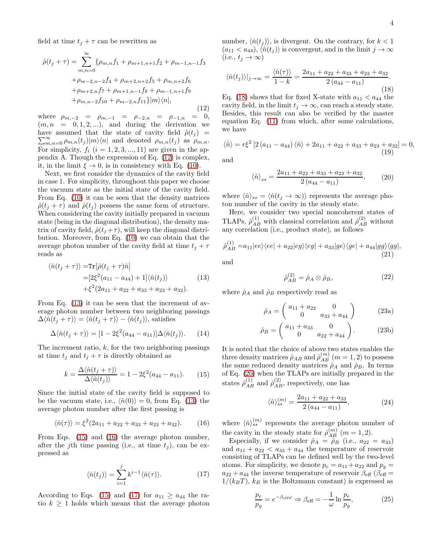field at time  $t_j + \tau$  can be rewritten as

<span id="page-3-0"></span>
$$
\hat{\rho}(t_j + \tau) = \sum_{m,n=0}^{\infty} \{ \rho_{m,n} f_1 + \rho_{m+1,n+1} f_2 + \rho_{m-1,n-1} f_3 \n+ \rho_{m-2,n-2} f_4 + \rho_{m+2,n+2} f_5 + \rho_{m,n+2} f_6 \n+ \rho_{m+2,n} f_7 + \rho_{m+1,n-1} f_8 + \rho_{m-1,n+1} f_9 \n+ \rho_{m,n-2} f_{10} + \rho_{m-2,n} f_{11} \} |m\rangle\langle n|,
$$
\n(12)

where  $\rho_{m,-2} = \rho_{m,-1} = \rho_{-2,n} = \rho_{-1,n} = 0$ ,  $(m, n = 0, 1, 2, ...)$ , and during the derivation we have assumed that the state of cavity field  $\hat{\rho}(t_j)$  =  $\sum_{m,n=0}^{\infty} \rho_{m,n}(t_j)|m\rangle\langle n|$  and denoted  $\rho_{m,n}(t_j)$  as  $\rho_{m,n}$ . For simplicity,  $f_i$   $(i = 1, 2, 3, ..., 11)$  are given in the appendix A. Though the expression of Eq. [\(12\)](#page-3-0) is complex, it, in the limit  $\xi \to 0$ , is in consistency with Eq. [\(10\)](#page-2-7).

Next, we first consider the dynamics of the cavity field in case 1. For simplicity, throughout this paper we choose the vacuum state as the initial state of the cavity field. From Eq. [\(10\)](#page-2-7) it can be seen that the density matrices  $\hat{\rho}(t_i + \tau)$  and  $\hat{\rho}(t_i)$  possess the same form of structure. When considering the cavity initially prepared in vacuum state (being in the diagonal distribution), the density matrix of cavity field,  $\hat{\rho}(t_i + \tau)$ , will keep the diagonal distribution. Moreover, from Eq. [\(10\)](#page-2-7) we can obtain that the average photon number of the cavity field at time  $t_j + \tau$ reads as

<span id="page-3-1"></span>
$$
\langle \hat{n}(t_j + \tau) \rangle = \text{Tr}[\hat{\rho}(t_j + \tau)\hat{n}]
$$
  
=  $[2\xi^2(a_{11} - a_{44}) + 1] \langle \hat{n}(t_j) \rangle$  (13)  
+ $\xi^2(2a_{11} + a_{22} + a_{33} + a_{23} + a_{32}).$ 

From Eq. [\(13\)](#page-3-1) it can be seen that the increment of average photon number between two neighboring passings  $\langle \Delta \langle \hat{n}(t_j + \tau) \rangle = \langle \hat{n}(t_j + \tau) \rangle - \langle \hat{n}(t_j) \rangle$ , satisfies

$$
\Delta \langle \hat{n}(t_j + \tau) \rangle = [1 - 2\xi^2 (a_{44} - a_{11})] \Delta \langle \hat{n}(t_j) \rangle. \tag{14}
$$

The increment ratio,  $k$ , for the two neighboring passings at time  $t_j$  and  $t_j + \tau$  is directly obtained as

<span id="page-3-2"></span>
$$
k = \frac{\Delta \langle \hat{n}(t_j + \tau) \rangle}{\Delta \langle \hat{n}(t_j) \rangle} = 1 - 2\xi^2 (a_{44} - a_{11}). \tag{15}
$$

Since the initial state of the cavity field is supposed to be the vacuum state, i.e.,  $\langle \hat{n}(0) \rangle = 0$ , from Eq. [\(13\)](#page-3-1) the average photon number after the first passing is

<span id="page-3-3"></span>
$$
\langle \hat{n}(\tau) \rangle = \xi^2 (2a_{11} + a_{22} + a_{33} + a_{23} + a_{32}). \tag{16}
$$

From Eqs. [\(15\)](#page-3-2) and [\(16\)](#page-3-3) the average photon number, after the j<sup>th</sup> time passing (i.e., at time  $t_i$ ), can be expressed as

<span id="page-3-4"></span>
$$
\langle \hat{n}(t_j) \rangle = \sum_{i=1}^{j} k^{i-1} \langle \hat{n}(\tau) \rangle.
$$
 (17)

According to Eqs. [\(15\)](#page-3-2) and [\(17\)](#page-3-4) for  $a_{11} \ge a_{44}$  the ratio  $k \geq 1$  holds which means that the average photon number,  $\langle \hat{n}(t_i) \rangle$ , is divergent. On the contrary, for  $k < 1$  $(a_{11} < a_{44}), \langle \hat{n}(t_j) \rangle$  is convergent, and in the limit  $j \to \infty$  $(i.e., t_j \rightarrow \infty)$ 

<span id="page-3-5"></span>
$$
\langle \hat{n}(t_j) \rangle |_{j \to \infty} = \frac{\langle \hat{n}(\tau) \rangle}{1 - k} = \frac{2a_{11} + a_{22} + a_{33} + a_{23} + a_{32}}{2(a_{44} - a_{11})}.
$$
\n(18)

Eq. [\(18\)](#page-3-5) shows that for fixed X-state with  $a_{11} < a_{44}$  the cavity field, in the limit  $t_i \rightarrow \infty$ , can reach a steady state. Besides, this result can also be verified by the master equation Eq. [\(11\)](#page-2-6) from which, after some calculations, we have

$$
\langle \dot{\hat{n}} \rangle = r\xi^2 \left[ 2 \left( a_{11} - a_{44} \right) \langle \hat{n} \rangle + 2a_{11} + a_{22} + a_{33} + a_{23} + a_{32} \right] = 0, \tag{19}
$$

and

<span id="page-3-6"></span>
$$
\langle \hat{n} \rangle_{ss} = \frac{2a_{11} + a_{22} + a_{33} + a_{23} + a_{32}}{2(a_{44} - a_{11})},
$$
 (20)

where  $\langle \hat{n} \rangle_{ss} = \langle \hat{n}(t_j \to \infty) \rangle$  represents the average photon number of the cavity in the steady state.

Here, we consider two special noncoherent states of TLAPs,  $\hat{\rho}_{AB}^{(1)}$  with classical correlation and  $\hat{\rho}_{AB}^{(2)}$  without any correlation (i.e., product state), as follows

$$
\hat{\rho}_{AB}^{(1)} = a_{11}|ee\rangle\langle ee| + a_{22}|eg\rangle\langle eg| + a_{33}|ge\rangle\langle ge| + a_{44}|gg\rangle\langle gg|,
$$
\n(21)

and

$$
\hat{\rho}_{AB}^{(2)} = \hat{\rho}_A \otimes \hat{\rho}_B,\tag{22}
$$

where  $\hat{\rho}_A$  and  $\hat{\rho}_B$  respectively read as

$$
\hat{\rho}_A = \begin{pmatrix} a_{11} + a_{22} & 0 \\ 0 & a_{33} + a_{44} \end{pmatrix} \tag{23a}
$$

$$
\hat{\rho}_B = \begin{pmatrix} a_{11} + a_{33} & 0 \\ 0 & a_{22} + a_{44} \end{pmatrix} . \tag{23b}
$$

It is noted that the choice of above two states enables the three density matrices  $\hat{\rho}_{AB}$  and  $\hat{\rho}_{AB}^{(m)}$   $(m = 1, 2)$  to possess the same reduced density matrices  $\hat{\rho}_A$  and  $\hat{\rho}_B$ . In terms of Eq. [\(20\)](#page-3-6) when the TLAPs are initially prepared in the states  $\hat{\rho}_{AB}^{(1)}$  and  $\hat{\rho}_{AB}^{(2)}$ , respectively, one has

<span id="page-3-7"></span>
$$
\langle \hat{n} \rangle_{ss}^{(m)} = \frac{2a_{11} + a_{22} + a_{33}}{2\left(a_{44} - a_{11}\right)},\tag{24}
$$

where  $\langle \hat{n} \rangle_{ss}^{(m)}$  represents the average photon number of the cavity in the steady state for  $\hat{\rho}_{AB}^{(m)}$  ( $m = 1, 2$ ).

Especially, if we consider  $\rho_A = \rho_B$  (i.e.,  $a_{22} = a_{33}$ ) and  $a_{11} + a_{22} < a_{33} + a_{44}$  the temperature of reservoir consisting of TLAPs can be defined well by the two-level atoms. For simplicity, we denote  $p_e = a_{11} + a_{22}$  and  $p_g = a_{11} + a_{22}$  $a_{22} + a_{44}$  the inverse temperature of reservoir  $\beta_{\text{eff}}$  ( $\beta_{\text{eff}}$  =  $1/(k_BT)$ ,  $k_B$  is the Boltzmann constant) is expressed as

<span id="page-3-8"></span>
$$
\frac{p_e}{p_g} = e^{-\beta_{\text{eff}}\omega} \Rightarrow \beta_{\text{eff}} = -\frac{1}{\omega} \ln \frac{p_e}{p_g},\tag{25}
$$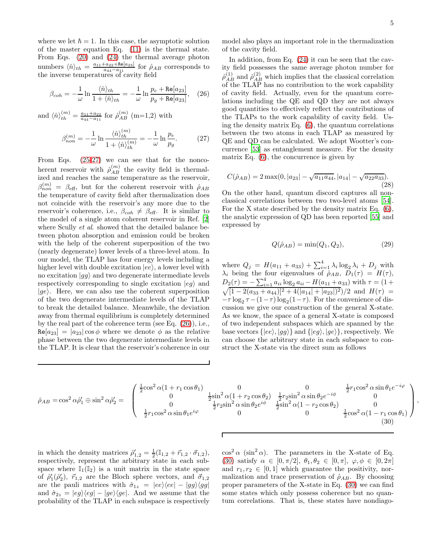where we let  $\hbar = 1$ . In this case, the asymptotic solution of the master equation Eq. [\(11\)](#page-2-6) is the thermal state. From Eqs. [\(20\)](#page-3-6) and [\(24\)](#page-3-7) the thermal average photon numbers  $\langle \hat{n} \rangle_{th} = \frac{a_{11} + a_{22} + \text{Re}[a_{23}]}{a_{44} - a_{11}}$  $\frac{a_{44}-a_{11}}{a_{44}-a_{11}}$  for  $\hat{\rho}_{AB}$  corresponds to the inverse temperatures of cavity field

<span id="page-4-1"></span>
$$
\beta_{coh} = -\frac{1}{\omega} \ln \frac{\langle \hat{n} \rangle_{th}}{1 + \langle \hat{n} \rangle_{th}} = -\frac{1}{\omega} \ln \frac{p_e + \text{Re}[a_{23}]}{p_g + \text{Re}[a_{23}]}, \quad (26)
$$

and  $\langle \hat{n} \rangle_{th}^{(m)} = \frac{a_{11} + a_{22}}{a_{44} - a_{11}}$  for  $\hat{\rho}_{AB}^{(m)}$  (m=1,2) with

<span id="page-4-0"></span>
$$
\beta_{non}^{(m)} = -\frac{1}{\omega} \ln \frac{\langle \hat{n} \rangle_{th}^{(m)}}{1 + \langle \hat{n} \rangle_{th}^{(m)}} = -\frac{1}{\omega} \ln \frac{p_e}{p_g}.
$$
 (27)

From Eqs. [\(25](#page-3-8)[-27\)](#page-4-0) we can see that for the noncoherent reservoir with  $\rho_{AB}^{(m)}$  the cavity field is thermalized and reaches the same temperature as the reservoir,  $\beta_{non}^{(m)} = \beta_{\text{eff}}$ , but for the coherent reservoir with  $\rho_{AB}$ the temperature of cavity field after thermalization does not coincide with the reservoir's any more due to the reservoir's coherence, i.e.,  $\beta_{coh} \neq \beta_{eff}$ . It is similar to the model of a single atom coherent reservoir in Ref. [\[2](#page-10-1)] where Scully *et al.* showed that the detailed balance between photon absorption and emission could be broken with the help of the coherent superposition of the two (nearly degenerate) lower levels of a three-level atom. In our model, the TLAP has four energy levels including a higher level with double excitation  $|ee\rangle$ , a lower level with no excitation  $|q\dot{q}\rangle$  and two degenerate intermediate levels respectively corresponding to single excitation  $|eg\rangle$  and  $|qe\rangle$ . Here, we can also use the coherent superposition of the two degenerate intermediate levels of the TLAP to break the detailed balance. Meanwhile, the deviation away from thermal equilibrium is completely determined by the real part of the coherence term (see Eq. [\(26\)](#page-4-1)), i.e.,  $Re[a_{23}] = |a_{23}| \cos \phi$  where we denote  $\phi$  as the relative phase between the two degenerate intermediate levels in the TLAP. It is clear that the reservoir's coherence in our

model also plays an important role in the thermalization of the cavity field.

In addition, from Eq. [\(24\)](#page-3-7) it can be seen that the cavity field possesses the same average photon number for  $\hat{\rho}_{AB}^{(1)}$  and  $\hat{\rho}_{AB}^{(2)}$  which implies that the classical correlation of the TLAP has no contribution to the work capability of cavity field. Actually, even for the quantum correlations including the QE and QD they are not always good quantities to effectively reflect the contributions of the TLAPs to the work capability of cavity field. Using the density matrix Eq. [\(6\)](#page-2-1), the quantum correlations between the two atoms in each TLAP as measured by QE and QD can be calculated. We adopt Wootter's concurrence [\[53](#page-11-11)] as entanglement measure. For the density matrix Eq. [\(6\)](#page-2-1), the concurrence is given by

<span id="page-4-3"></span>
$$
C(\hat{\rho}_{AB}) = 2 \max(0, |a_{23}| - \sqrt{a_{11} a_{44}}, |a_{14}| - \sqrt{a_{22} a_{33}}). \tag{28}
$$

On the other hand, quantum discord captures all nonclassical correlations between two two-level atoms [\[54\]](#page-11-12). For the X state described by the density matrix Eq. [\(6\)](#page-2-1), the analytic expression of QD has been reported [\[55\]](#page-11-13) and expressed by

<span id="page-4-4"></span>
$$
Q(\hat{\rho}_{AB}) = \min(Q_1, Q_2),\tag{29}
$$

where  $Q_j = H(a_{11} + a_{33}) + \sum_{i=1}^4 \lambda_i \log_2 \lambda_i + D_j$  with  $\lambda_i$  being the four eigenvalues of  $\hat{\rho}_{AB}, D_1(\tau) = H(\tau),$  $D_2(\tau) = -\sum_{i=1}^4 a_{ii} \log$  $\sqrt{ }$  $_2 a_{ii} - H(a_{11} + a_{33})$  with  $\tau = (1 +$  $[1 - 2(a_{33} + a_{44})]^2 + 4(|a_{14}| + |a_{23}|)^2)/2$  and  $H(\tau) =$  $-\tau \log_2 \tau - (1-\tau) \log_2 (1-\tau)$ . For the convenience of discussion we give our construction of the general X-state. As we know, the space of a general X-state is composed of two independent subspaces which are spanned by the base vectors  $\{ |ee\rangle, |gg\rangle \}$  and  $\{ |eg\rangle, |ge\rangle \}$ , respectively. We can choose the arbitrary state in each subspace to construct the X-state via the direct sum as follows

$$
\hat{\rho}_{AB} = \cos^2 \alpha \hat{\rho}'_1 \oplus \sin^2 \alpha \hat{\rho}'_2 = \begin{pmatrix} \frac{1}{2} \cos^2 \alpha (1 + r_1 \cos \theta_1) & 0 & 0 & \frac{1}{2} r_1 \cos^2 \alpha \sin \theta_1 e^{-i\varphi} \\ 0 & \frac{1}{2} \sin^2 \alpha (1 + r_2 \cos \theta_2) & \frac{1}{2} r_2 \sin^2 \alpha \sin \theta_2 e^{-i\phi} & 0 \\ 0 & \frac{1}{2} r_2 \sin^2 \alpha \sin \theta_2 e^{i\phi} & \frac{1}{2} \sin^2 \alpha (1 - r_2 \cos \theta_2) & 0 \\ \frac{1}{2} r_1 \cos^2 \alpha \sin \theta_1 e^{i\varphi} & 0 & 0 & \frac{1}{2} \cos^2 \alpha (1 - r_1 \cos \theta_1) \end{pmatrix},
$$
\n(30)

in which the density matrices  $\hat{\rho}'_{1,2} = \frac{1}{2} (\mathbb{I}_{1,2} + \vec{r}_{1,2} \cdot \vec{\sigma}_{1,2}),$ respectively, represent the arbitrary state in each subspace where  $\mathbb{I}_1(\mathbb{I}_2)$  is a unit matrix in the state space of  $\hat{\rho}'_1(\hat{\rho}'_2)$ ,  $\vec{r}_{1,2}$  are the Bloch sphere vectors, and  $\vec{\sigma}_{1,2}$ are the pauli matrices with  $\hat{\sigma}_{1z} = |ee\rangle\langle ee| - |gg\rangle\langle gg|$ and  $\hat{\sigma}_{2z} = |eg\rangle\langle eg| - |ge\rangle\langle ge|$ . And we assume that the probability of the TLAP in each subspace is respectively

<span id="page-4-2"></span> $\cos^2 \alpha$  (sin<sup>2</sup> α). The parameters in the X-state of Eq. [\(30\)](#page-4-2) satisfy  $\alpha \in [0, \pi/2], \theta_1, \theta_2 \in [0, \pi], \varphi, \phi \in [0, 2\pi]$ and  $r_1, r_2 \in [0, 1]$  which guarantee the positivity, normalization and trace preservation of  $\hat{\rho}_{AB}$ . By choosing proper parameters of the X-state in Eq. [\(30\)](#page-4-2) we can find some states which only possess coherence but no quantum correlations. That is, these states have nondiago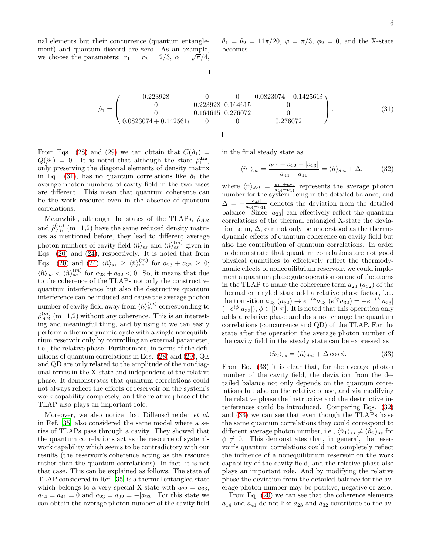nal elements but their concurrence (quantum entanglement) and quantum discord are zero. As an example, we choose the parameters:  $r_1 = r_2 = 2/3$ ,  $\alpha = \sqrt{\pi}/4$ ,

 $\theta_1 = \theta_2 = 11\pi/20, \varphi = \pi/3, \varphi_2 = 0, \text{ and the X-state}$ becomes

$$
\hat{\rho}_1 = \begin{pmatrix}\n0.223928 & 0 & 0 & 0.0823074 - 0.142561i \\
0 & 0.223928 & 0.164615 & 0 \\
0 & 0.164615 & 0.276072 & 0 \\
0.0823074 + 0.142561i & 0 & 0 & 0.276072\n\end{pmatrix}.
$$
\n(31)

From Eqs. [\(28\)](#page-4-3) and [\(29\)](#page-4-4) we can obtain that  $C(\hat{\rho}_1)$  =  $Q(\hat{\rho}_1) = 0$ . It is noted that although the state  $\hat{\rho}_1^{\text{dia}}$ , only preserving the diagonal elements of density matrix in Eq. [\(31\)](#page-5-0), has no quantum correlations like  $\hat{\rho}_1$  the average photon numbers of cavity field in the two cases are different. This mean that quantum coherence can be the work resource even in the absence of quantum correlations.

Meanwhile, although the states of the TLAPs,  $\rho_{AB}$ and  $\hat{\rho}_{AB}^{(m)}$  (m=1,2) have the same reduced density matrices as mentioned before, they lead to different average photon numbers of cavity field  $\langle \hat{n} \rangle_{ss}$  and  $\langle \hat{n} \rangle_{ss}^{(m)}$  given in Eqs. [\(20\)](#page-3-6) and [\(24\)](#page-3-7), respectively. It is noted that from Eqs. [\(20\)](#page-3-6) and [\(24\)](#page-3-7)  $\langle \hat{n} \rangle_{ss} \geq \langle \hat{n} \rangle_{ss}^{(m)}$  for  $a_{23} + a_{32} \geq 0$ ;  $\langle \hat{n} \rangle_{ss} < \langle \hat{n} \rangle_{ss}^{(m)}$  for  $a_{23} + a_{32} < 0$ . So, it means that due to the coherence of the TLAPs not only the constructive quantum interference but also the destructive quantum interference can be induced and cause the average photon number of cavity field away from  $\langle \hat{n} \rangle_{ss}^{(m)}$  corresponding to  $\hat{\rho}_{AB}^{(m)}$  (m=1,2) without any coherence. This is an interesting and meaningful thing, and by using it we can easily perform a thermodynamic cycle with a single nonequilibrium reservoir only by controlling an external parameter, i.e., the relative phase. Furthermore, in terms of the definitions of quantum correlations in Eqs. [\(28\)](#page-4-3) and [\(29\)](#page-4-4), QE and QD are only related to the amplitude of the nondiagonal terms in the X-state and independent of the relative phase. It demonstrates that quantum correlations could not always reflect the effects of reservoir on the system's work capability completely, and the relative phase of the TLAP also plays an important role.

Moreover, we also notice that Dillenschneider *et al.* in Ref. [\[35](#page-11-3)] also considered the same model where a series of TLAPs pass through a cavity. They showed that the quantum correlations act as the resource of system's work capability which seems to be contradictory with our results (the reservoir's coherence acting as the resource rather than the quantum correlations). In fact, it is not that case. This can be explained as follows. The state of TLAP considered in Ref. [\[35\]](#page-11-3) is a thermal entangled state which belongs to a very special X-state with  $a_{22} = a_{33}$ ,  $a_{14} = a_{41} = 0$  and  $a_{23} = a_{32} = -|a_{23}|$ . For this state we can obtain the average photon number of the cavity field

in the final steady state as

<span id="page-5-2"></span><span id="page-5-0"></span>
$$
\langle \hat{n}_1 \rangle_{ss} = \frac{a_{11} + a_{22} - |a_{23}|}{a_{44} - a_{11}} = \langle \hat{n} \rangle_{det} + \Delta,
$$
 (32)

where  $\langle \hat{n} \rangle_{det} = \frac{a_{11} + a_{22}}{a_{44} - a_{11}}$  represents the average photon number for the system being in the detailed balance, and  $\Delta \, = \, - \frac{|a_{23}|}{a_{44}-a}$  $\frac{|a_{23}|}{a_{44}-a_{11}}$  denotes the deviation from the detailed balance. Since  $|a_{23}|$  can effectively reflect the quantum correlations of the thermal entangled X-state the deviation term,  $\Delta$ , can not only be understood as the thermodynamic effects of quantum coherence on cavity field but also the contribution of quantum correlations. In order to demonstrate that quantum correlations are not good physical quantities to effectively reflect the thermodynamic effects of nonequilibrium reservoir, we could implement a quantum phase gate operation on one of the atoms in the TLAP to make the coherence term  $a_{23}$   $(a_{32})$  of the thermal entangled state add a relative phase factor, i.e., the transition  $a_{23} (a_{32}) \to e^{-i\phi} a_{23} (e^{i\phi} a_{32}) = -e^{-i\phi} |a_{23}|$  $(-e^{i\phi}|a_{32}|), \phi \in [0, \pi].$  It is noted that this operation only adds a relative phase and does not change the quantum correlations (concurrence and QD) of the TLAP. For the state after the operation the average photon number of the cavity field in the steady state can be expressed as

<span id="page-5-1"></span>
$$
\langle \hat{n}_2 \rangle_{ss} = \langle \hat{n} \rangle_{det} + \Delta \cos \phi. \tag{33}
$$

From Eq. [\(33\)](#page-5-1) it is clear that, for the average photon number of the cavity field, the deviation from the detailed balance not only depends on the quantum correlations but also on the relative phase, and via modifying the relative phase the instructive and the destructive interferences could be introduced. Comparing Eqs. [\(32\)](#page-5-2) and [\(33\)](#page-5-1) we can see that even though the TLAPs have the same quantum correlations they could correspond to different average photon number, i.e.,  $\langle \hat{n}_1 \rangle_{ss} \neq \langle \hat{n}_2 \rangle_{ss}$  for  $\phi \neq 0$ . This demonstrates that, in general, the reservoir's quantum correlations could not completely reflect the influence of a nonequilibrium reservoir on the work capability of the cavity field, and the relative phase also plays an important role. And by modifying the relative phase the deviation from the detailed balance for the average photon number may be positive, negative or zero.

From Eq. [\(20\)](#page-3-6) we can see that the coherence elements  $a_{14}$  and  $a_{41}$  do not like  $a_{23}$  and  $a_{32}$  contribute to the av-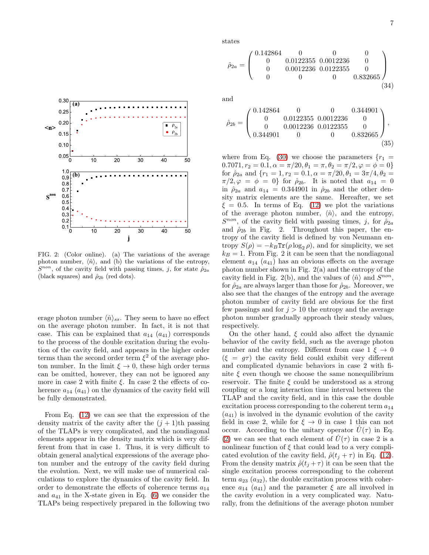

FIG. 2: (Color online). (a) The variations of the average photon number,  $\langle \hat{n} \rangle$ , and (b) the variations of the entropy,  $S^{non}$ , of the cavity field with passing times, j, for state  $\rho_{2a}$ (black squares) and  $\hat{\rho}_{2b}$  (red dots).

erage photon number  $\langle \hat{n} \rangle_{ss}$ . They seem to have no effect on the average photon number. In fact, it is not that case. This can be explained that  $a_{14}$   $(a_{41})$  corresponds to the process of the double excitation during the evolution of the cavity field, and appears in the higher order terms than the second order term  $\xi^2$  of the average photon number. In the limit  $\xi \to 0$ , these high order terms can be omitted, however, they can not be ignored any more in case 2 with finite  $\xi$ . In case 2 the effects of coherence  $a_{14}$   $(a_{41})$  on the dynamics of the cavity field will be fully demonstrated.

From Eq. [\(12\)](#page-3-0) we can see that the expression of the density matrix of the cavity after the  $(j + 1)$ th passing of the TLAPs is very complicated, and the nondiagonal elements appear in the density matrix which is very different from that in case 1. Thus, it is very difficult to obtain general analytical expressions of the average photon number and the entropy of the cavity field during the evolution. Next, we will make use of numerical calculations to explore the dynamics of the cavity field. In order to demonstrate the effects of coherence terms  $a_{14}$ and  $a_{41}$  in the X-state given in Eq. [\(6\)](#page-2-1) we consider the TLAPs being respectively prepared in the following two

states

$$
\hat{\rho}_{2a} = \begin{pmatrix}\n0.142864 & 0 & 0 & 0 \\
0 & 0.0122355 & 0.0012236 & 0 \\
0 & 0.0012236 & 0.0122355 & 0 \\
0 & 0 & 0 & 0.832665\n\end{pmatrix}
$$
\n(34)

and

<span id="page-6-0"></span>
$$
\hat{\rho}_{2b} = \begin{pmatrix}\n0.142864 & 0 & 0 & 0.344901 \\
0 & 0.0122355 & 0.0012236 & 0 \\
0 & 0.0012236 & 0.0122355 & 0 \\
0.344901 & 0 & 0 & 0.832665\n\end{pmatrix},
$$
\n(35)

where from Eq. [\(30\)](#page-4-2) we choose the parameters  $\{r_1 =$  $0.7071, r_2 = 0.1, \alpha = \pi/20, \theta_1 = \pi, \theta_2 = \pi/2, \varphi = \phi = 0$ for  $\hat{\rho}_{2a}$  and  $\{r_1 = 1, r_2 = 0.1, \alpha = \pi/20, \theta_1 = 3\pi/4, \theta_2 =$  $\pi/2, \varphi = \varphi = 0$ } for  $\hat{\rho}_{2b}$ . It is noted that  $a_{14} = 0$ in  $\hat{\rho}_{2a}$  and  $a_{14} = 0.344901$  in  $\hat{\rho}_{2b}$  and the other density matrix elements are the same. Hereafter, we set  $\xi = 0.5$ . In terms of Eq. [\(12\)](#page-3-0) we plot the variations of the average photon number,  $\langle \hat{n} \rangle$ , and the entropy,  $S^{non}$ , of the cavity field with passing times, j, for  $\hat{\rho}_{2a}$ and  $\hat{\rho}_{2b}$  in Fig. 2. Throughout this paper, the entropy of the cavity field is defined by von Neumann entropy  $S(\rho) = -k_B \text{Tr}(\rho \log_2 \rho)$ , and for simplicity, we set  $k_B = 1$ . From Fig. 2 it can be seen that the nondiagonal element  $a_{14}$   $(a_{41})$  has an obvious effects on the average photon number shown in Fig. 2(a) and the entropy of the cavity field in Fig. 2(b), and the values of  $\langle \hat{n} \rangle$  and  $S^{non}$ , for  $\hat{\rho}_{2a}$  are always larger than those for  $\hat{\rho}_{2b}$ . Moreover, we also see that the changes of the entropy and the average photon number of cavity field are obvious for the first few passings and for  $j > 10$  the entropy and the average photon number gradually approach their steady values, respectively.

On the other hand,  $\xi$  could also affect the dynamic behavior of the cavity field, such as the average photon number and the entropy. Different from case  $1 \xi \rightarrow 0$  $(\xi = g\tau)$  the cavity field could exhibit very different and complicated dynamic behaviors in case 2 with finite  $\xi$  even though we choose the same nonequilibrium reservoir. The finite  $\xi$  could be understood as a strong coupling or a long interaction time interval between the TLAP and the cavity field, and in this case the double excitation process corresponding to the coherent term  $a_{14}$  $(a_{41})$  is involved in the dynamic evolution of the cavity field in case 2, while for  $\xi \to 0$  in case 1 this can not occur. According to the unitary operator  $U(\tau)$  in Eq. [\(2\)](#page-1-1) we can see that each element of  $\hat{U}(\tau)$  in case 2 is a nonlinear function of  $\xi$  that could lead to a very complicated evolution of the cavity field,  $\hat{\rho}(t_i + \tau)$  in Eq. [\(12\)](#page-3-0). From the density matrix  $\hat{\rho}(t_i + \tau)$  it can be seen that the single excitation process corresponding to the coherent term  $a_{23}$   $(a_{32})$ , the double excitation process with coherence  $a_{14}$  ( $a_{41}$ ) and the parameter  $\xi$  are all involved in the cavity evolution in a very complicated way. Naturally, from the definitions of the average photon number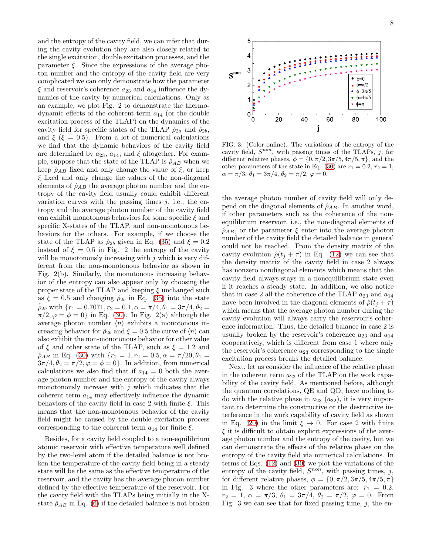and the entropy of the cavity field, we can infer that during the cavity evolution they are also closely related to the single excitation, double excitation processes, and the parameter  $\xi$ . Since the expressions of the average photon number and the entropy of the cavity field are very complicated we can only demonstrate how the parameter  $\xi$  and reservoir's coherence  $a_{23}$  and  $a_{14}$  influence the dynamics of the cavity by numerical calculations. Only as an example, we plot Fig. 2 to demonstrate the thermodynamic effects of the coherent term  $a_{14}$  (or the double excitation process of the TLAP) on the dynamics of the cavity field for specific states of the TLAP  $\hat{\rho}_{2a}$  and  $\hat{\rho}_{2b}$ , and  $\xi$  ( $\xi = 0.5$ ). From a lot of numerical calculations we find that the dynamic behaviors of the cavity field are determined by  $a_{23}$ ,  $a_{14}$ , and  $\xi$  altogether. For example, suppose that the state of the TLAP is  $\hat{\rho}_{AB}$  when we keep  $\hat{\rho}_{AB}$  fixed and only change the value of  $\xi$ , or keep ξ fixed and only change the values of the non-diagonal elements of  $\hat{\rho}_{AB}$  the average photon number and the entropy of the cavity field usually could exhibit different variation curves with the passing times  $j$ , i.e., the entropy and the average photon number of the cavity field can exhibit monotonous behaviors for some specific  $\xi$  and specific X-states of the TLAP, and non-monotonous behaviors for the others. For example, if we choose the state of the TLAP as  $\hat{\rho}_{2b}$  given in Eq. [\(35\)](#page-6-0) and  $\xi = 0.2$ instead of  $\xi = 0.5$  in Fig. 2 the entropy of the cavity will be monotonously increasing with  $j$  which is very different from the non-monotonous behavior as shown in Fig. 2(b). Similarly, the monotonous increasing behavior of the entropy can also appear only by choosing the proper state of the TLAP and keeping  $\xi$  unchanged such as  $\xi = 0.5$  and changing  $\hat{\rho}_{2b}$  in Eq. [\(35\)](#page-6-0) into the state  $\tilde{\rho}_{2b}$  with  $\{r_1 = 0.7071, r_2 = 0.1, \alpha = \pi/4, \theta_1 = 3\pi/4, \theta_2 =$  $\pi/2, \varphi = \varphi = 0$ } in Eq. [\(30\)](#page-4-2). In Fig. 2(a) although the average photon number  $\langle n \rangle$  exhibits a monotonous increasing behavior for  $\hat{\rho}_{2b}$  and  $\xi = 0.5$  the curve of  $\langle n \rangle$  can also exhibit the non-monotonous behavior for other value of  $\xi$  and other state of the TLAP, such as  $\xi = 1.2$  and  $\hat{\rho}_{AB}$  in Eq. [\(30\)](#page-4-2) with  $\{r_1 = 1, r_2 = 0.5, \alpha = \pi/20, \theta_1 =$  $3\pi/4, \theta_2 = \pi/2, \varphi = \phi = 0$ . In addition, from numerical calculations we also find that if  $a_{14} = 0$  both the average photon number and the entropy of the cavity always monotonously increase with  $j$  which indicates that the coherent term  $a_{14}$  may effectively influence the dynamic behaviors of the cavity field in case 2 with finite  $\xi$ . This means that the non-monotonous behavior of the cavity field might be caused by the double excitation process corresponding to the coherent term  $a_{14}$  for finite  $\xi$ .

Besides, for a cavity field coupled to a non-equilibrium atomic reservoir with effective temperature well defined by the two-level atom if the detailed balance is not broken the temperature of the cavity field being in a steady state will be the same as the effective temperature of the reservoir, and the cavity has the average photon number defined by the effective temperature of the reservoir. For the cavity field with the TLAPs being initially in the Xstate  $\hat{\rho}_{AB}$  in Eq. [\(6\)](#page-2-1) if the detailed balance is not broken



FIG. 3: (Color online). The variations of the entropy of the cavity field,  $S^{non}$ , with passing times of the TLAPs, j, for different relative phases,  $\phi = \{0, \pi/2, 3\pi/5, 4\pi/5, \pi\}$ , and the other parameters of the state in Eq. [\(30\)](#page-4-2) are  $r_1 = 0.2$ ,  $r_2 = 1$ ,  $\alpha = \pi/3, \, \theta_1 = 3\pi/4, \, \theta_2 = \pi/2, \, \varphi = 0.$ 

the average photon number of cavity field will only depend on the diagonal elements of  $\hat{\rho}_{AB}$ . In another word, if other parameters such as the coherence of the nonequilibrium reservoir, i.e., the non-diagonal elements of  $\hat{\rho}_{AB}$ , or the parameter  $\xi$  enter into the average photon number of the cavity field the detailed balance in general could not be reached. From the density matrix of the cavity evolution  $\hat{\rho}(t_j + \tau)$  in Eq. [\(12\)](#page-3-0) we can see that the density matrix of the cavity field in case 2 always has nonzero nondiagonal elements which means that the cavity field always stays in a nonequilibrium state even if it reaches a steady state. In addition, we also notice that in case 2 all the coherence of the TLAP  $a_{23}$  and  $a_{14}$ have been involved in the diagonal elements of  $\hat{\rho}(t_i + \tau)$ which means that the average photon number during the cavity evolution will always carry the reservoir's coherence information. Thus, the detailed balance in case 2 is usually broken by the reservoir's coherence  $a_{23}$  and  $a_{14}$ cooperatively, which is different from case 1 where only the reservoir's coherence  $a_{23}$  corresponding to the single excitation process breaks the detailed balance.

Next, let us consider the influence of the relative phase in the coherent term  $a_{23}$  of the TLAP on the work capability of the cavity field. As mentioned before, although the quantum correlations, QE and QD, have nothing to do with the relative phase in  $a_{23}$   $(a_{32})$ , it is very important to determine the constructive or the destructive interference in the work capability of cavity field as shown in Eq. [\(20\)](#page-3-6) in the limit  $\xi \to 0$ . For case 2 with finite  $\xi$  it is difficult to obtain explicit expressions of the average photon number and the entropy of the cavity, but we can demonstrate the effects of the relative phase on the entropy of the cavity field via numerical calculations. In terms of Eqs. [\(12\)](#page-3-0) and [\(30\)](#page-4-2) we plot the variations of the entropy of the cavity field,  $S^{non}$ , with passing times, j, for different relative phases,  $\phi = \{0, \pi/2, 3\pi/5, 4\pi/5, \pi\}$ in Fig. 3 where the other parameters are:  $r_1 = 0.2$ ,  $r_2 = 1, \ \alpha = \pi/3, \ \theta_1 = 3\pi/4, \ \theta_2 = \pi/2, \ \varphi = 0.$  From Fig. 3 we can see that for fixed passing time,  $j$ , the en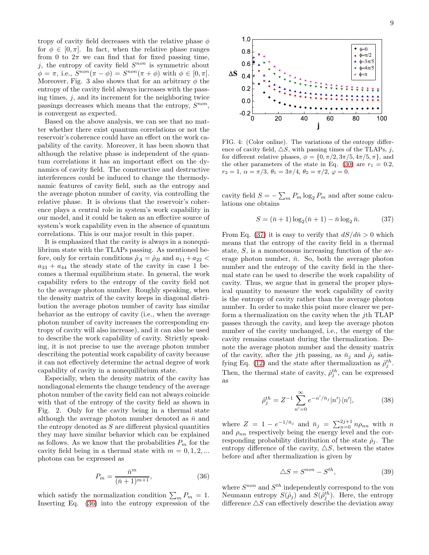tropy of cavity field decreases with the relative phase  $\phi$ for  $\phi \in [0, \pi]$ . In fact, when the relative phase ranges from 0 to  $2\pi$  we can find that for fixed passing time, j, the entropy of cavity field  $S^{non}$  is symmetric about  $\phi = \pi$ , i.e.,  $S^{non}(\pi - \phi) = S^{non}(\pi + \phi)$  with  $\phi \in [0, \pi]$ . Moreover, Fig. 3 also shows that for an arbitrary  $\phi$  the entropy of the cavity field always increases with the passing times,  $j$ , and its increment for the neighboring twice passings decreases which means that the entropy,  $S^{non}$ , is convergent as expected.

Based on the above analysis, we can see that no matter whether there exist quantum correlations or not the reservoir's coherence could have an effect on the work capability of the cavity. Moreover, it has been shown that although the relative phase is independent of the quantum correlations it has an important effect on the dynamics of cavity field. The constructive and destructive interferences could be induced to change the thermodynamic features of cavity field, such as the entropy and the average photon number of cavity, via controlling the relative phase. It is obvious that the reservoir's coherence plays a central role in system's work capability in our model, and it could be taken as an effective source of system's work capability even in the absence of quantum correlations. This is our major result in this paper.

It is emphasized that the cavity is always in a nonequilibrium state with the TLAPs passing. As mentioned before, only for certain conditions  $\hat{\rho}_A = \hat{\rho}_B$  and  $a_{11} + a_{22}$  $a_{33} + a_{44}$  the steady state of the cavity in case 1 becomes a thermal equilibrium state. In general, the work capability refers to the entropy of the cavity field not to the average photon number. Roughly speaking, when the density matrix of the cavity keeps in diagonal distribution the average photon number of cavity has similar behavior as the entropy of cavity (i.e., when the average photon number of cavity increases the corresponding entropy of cavity will also increase), and it can also be used to describe the work capability of cavity. Strictly speaking, it is not precise to use the average photon number describing the potential work capability of cavity because it can not effectively determine the actual degree of work capability of cavity in a nonequilibrium state.

Especially, when the density matrix of the cavity has nondiagonal elements the change tendency of the average photon number of the cavity field can not always coincide with that of the entropy of the cavity field as shown in Fig. 2. Only for the cavity being in a thermal state although the average photon number denoted as  $\bar{n}$  and the entropy denoted as  $S$  are different physical quantities they may have similar behavior which can be explained as follows. As we know that the probabilities  $P_m$  for the cavity field being in a thermal state with  $m = 0, 1, 2, ...$ photons can be expressed as

<span id="page-8-0"></span>
$$
P_m = \frac{\bar{n}^m}{(\bar{n}+1)^{m+1}},\tag{36}
$$

which satisfy the normalization condition  $\sum_m P_m = 1$ . Inserting Eq. [\(36\)](#page-8-0) into the entropy expression of the



FIG. 4: (Color online). The variations of the entropy difference of cavity field,  $\triangle S$ , with passing times of the TLAPs, j, for different relative phases,  $\phi = \{0, \pi/2, 3\pi/5, 4\pi/5, \pi\}$ , and the other parameters of the state in Eq. [\(30\)](#page-4-2) are  $r_1 = 0.2$ ,  $r_2 = 1, \ \alpha = \pi/3, \ \theta_1 = 3\pi/4, \ \theta_2 = \pi/2, \ \varphi = 0.$ 

cavity field  $S = -\sum_m P_m \log_2 P_m$  and after some calculations one obtains

<span id="page-8-1"></span>
$$
S = (\bar{n} + 1) \log_2(\bar{n} + 1) - \bar{n} \log_2 \bar{n}.
$$
 (37)

From Eq. [\(37\)](#page-8-1) it is easy to verify that  $dS/d\bar{n} > 0$  which means that the entropy of the cavity field in a thermal state, S, is a monotonous increasing function of the average photon number,  $\bar{n}$ . So, both the average photon number and the entropy of the cavity field in the thermal state can be used to describe the work capability of cavity. Thus, we argue that in general the proper physical quantity to measure the work capability of cavity is the entropy of cavity rather than the average photon number. In order to make this point more clearer we perform a thermalization on the cavity when the jth TLAP passes through the cavity, and keep the average photon number of the cavity unchanged, i.e., the energy of the cavity remains constant during the thermalization. Denote the average photon number and the density matrix of the cavity, after the j<sup>th</sup> passing, as  $\bar{n}_j$  and  $\hat{\rho}_j$  satis-fying Eq. [\(12\)](#page-3-0) and the state after thermalization as  $\hat{\rho}_j^{th}$ . Then, the thermal state of cavity,  $\hat{\rho}_{j}^{th}$ , can be expressed as

$$
\hat{\rho}_j^{th} = Z^{-1} \sum_{n'=0}^{\infty} e^{-n'/\bar{n}_j} |n'\rangle \langle n'|,\tag{38}
$$

where  $Z = 1 - e^{-1/\bar{n}_j}$  and  $\bar{n}_j = \sum_{n=0}^{2j+1} n \rho_{nn}$  with n and  $\rho_{nn}$  respectively being the energy level and the corresponding probability distribution of the state  $\hat{\rho}_j$ . The entropy difference of the cavity,  $\triangle S$ , between the states before and after thermalization is given by

$$
\triangle S = S^{non} - S^{th},\tag{39}
$$

where  $S^{non}$  and  $S^{th}$  independently correspond to the von Neumann entropy  $S(\hat{\rho}_j)$  and  $S(\hat{\rho}_j^{th})$ . Here, the entropy difference  $\triangle S$  can effectively describe the deviation away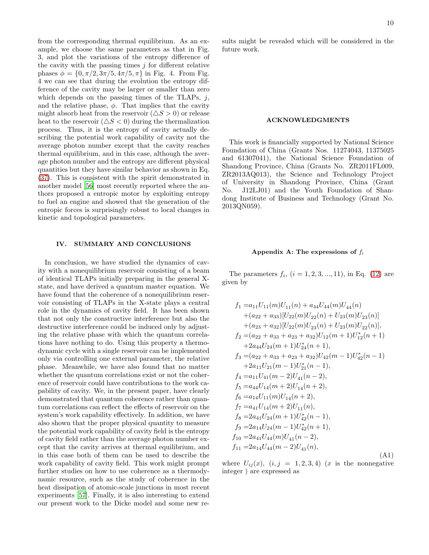from the corresponding thermal equilibrium. As an example, we choose the same parameters as that in Fig. 3, and plot the variations of the entropy difference of the cavity with the passing times  $j$  for different relative phases  $\phi = \{0, \pi/2, 3\pi/5, 4\pi/5, \pi\}$  in Fig. 4. From Fig. 4 we can see that during the evolution the entropy difference of the cavity may be larger or smaller than zero which depends on the passing times of the TLAPs,  $j$ , and the relative phase,  $\phi$ . That implies that the cavity might absorb heat from the reservoir  $(\triangle S > 0)$  or release heat to the reservoir  $(\triangle S < 0)$  during the thermalization process. Thus, it is the entropy of cavity actually describing the potential work capability of cavity not the average photon number except that the cavity reaches thermal equilibrium, and in this case, although the average photon number and the entropy are different physical quantities but they have similar behavior as shown in Eq. [\(37\)](#page-8-1). This is consistent with the spirit demonstrated in another model [\[56](#page-11-14)] most recently reported where the authors proposed a entropic motor by exploiting entropy to fuel an engine and showed that the generation of the entropic forces is surprisingly robust to local changes in kinetic and topological parameters.

### <span id="page-9-0"></span>IV. SUMMARY AND CONCLUSIONS

In conclusion, we have studied the dynamics of cavity with a nonequilibrium reservoir consisting of a beam of identical TLAPs initially preparing in the general Xstate, and have derived a quantum master equation. We have found that the coherence of a nonequilibrium reservoir consisting of TLAPs in the X-state plays a central role in the dynamics of cavity field. It has been shown that not only the constructive interference but also the destructive interference could be induced only by adjusting the relative phase with which the quantum correlations have nothing to do. Using this property a thermodynamic cycle with a single reservoir can be implemented only via controlling one external parameter, the relative phase. Meanwhile, we have also found that no matter whether the quantum correlations exist or not the coherence of reservoir could have contributions to the work capability of cavity. We, in the present paper, have clearly demonstrated that quantum coherence rather than quantum correlations can reflect the effects of reservoir on the system's work capability effectively. In addition, we have also shown that the proper physical quantity to measure the potential work capability of cavity field is the entropy of cavity field rather than the average photon number except that the cavity arrives at thermal equilibrium, and in this case both of them can be used to describe the work capability of cavity field. This work might prompt further studies on how to use coherence as a thermodynamic resource, such as the study of coherence in the heat dissipation of atomic-scale junctions in most recent experiments [\[57\]](#page-11-15). Finally, it is also interesting to extend our present work to the Dicke model and some new re10

sults might be revealed which will be considered in the future work.

#### ACKNOWLEDGMENTS

This work is financially supported by National Science Foundation of China (Grants Nos. 11274043, 11375025 and 61307041), the National Science Foundation of Shandong Province, China (Grants No. ZR2011FL009, ZR2013AQ013), the Science and Technology Project of University in Shandong Province, China (Grant No. J12LJ01) and the Youth Foundation of Shandong Institute of Business and Technology (Grant No. 2013QN059).

#### Appendix A: The expressions of  $f_i$

The parameters  $f_i$ ,  $(i = 1, 2, 3, ..., 11)$ , in Eq. [\(12\)](#page-3-0) are given by

$$
f_1 = a_{11}U_{11}(m)U_{11}(n) + a_{44}U_{44}(m)U_{44}(n)
$$
  
+
$$
(a_{22} + a_{33})[U_{22}(m)U_{22}(n) + U_{23}(m)U_{23}(n)]
$$
  
+
$$
(a_{23} + a_{32})[U_{22}(m)U_{23}(n) + U_{23}(m)U_{22}(n)],
$$
  

$$
f_2 = (a_{22} + a_{33} + a_{23} + a_{32})U_{12}(m + 1)U_{12}^*(n + 1)
$$
  
+
$$
2a_{44}U_{24}(m + 1)U_{24}^*(n + 1),
$$
  

$$
f_3 = (a_{22} + a_{33} + a_{23} + a_{32})U_{42}(m - 1)U_{42}^*(n - 1)
$$
  
+
$$
2a_{11}U_{21}(m - 1)U_{21}^*(n - 1),
$$
  

$$
f_4 = a_{11}U_{41}(m - 2)U_{41}(n - 2),
$$
  

$$
f_5 = a_{44}U_{14}(m + 2)U_{14}(n + 2),
$$
  

$$
f_6 = a_{14}U_{11}(m)U_{14}(n + 2),
$$
  

$$
f_7 = a_{41}U_{14}(m + 2)U_{11}(n),
$$
  

$$
f_8 = 2a_{41}U_{24}(m + 1)U_{42}^*(n - 1),
$$
  

$$
f_9 = 2a_{14}U_{24}(m - 1)U_{42}^*(n + 1),
$$
  

$$
f_{10} = 2a_{41}U_{44}(m)U_{41}(n - 2),
$$
  

$$
f_{11} = 2a_{14}U_{44}(m - 2)U_{41}(n),
$$
  
(A1)

where  $U_{ij}(x)$ ,  $(i, j = 1, 2, 3, 4)$  (x is the nonnegative integer ) are expressed as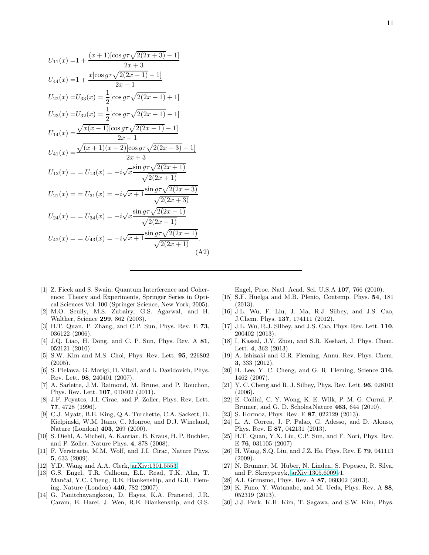$$
U_{11}(x) = 1 + \frac{(x+1)\left[\cos g\tau\sqrt{2(2x+3)} - 1\right]}{2x+3}
$$
  
\n
$$
U_{44}(x) = 1 + \frac{x\left[\cos g\tau\sqrt{2(2x-1)} - 1\right]}{2x-1}
$$
  
\n
$$
U_{22}(x) = U_{33}(x) = \frac{1}{2}\left[\cos g\tau\sqrt{2(2x+1)} + 1\right]
$$
  
\n
$$
U_{23}(x) = U_{32}(x) = \frac{1}{2}\left[\cos g\tau\sqrt{2(2x+1)} - 1\right]
$$
  
\n
$$
U_{14}(x) = \frac{\sqrt{x(x-1)}\left[\cos g\tau\sqrt{2(2x-1)} - 1\right]}{2x-1}
$$
  
\n
$$
U_{41}(x) = \frac{\sqrt{(x+1)(x+2)}\left[\cos g\tau\sqrt{2(2x+3)} - 1\right]}{2x+3}
$$
  
\n
$$
U_{12}(x) = U_{13}(x) = -i\sqrt{x} \frac{\sin g\tau\sqrt{2(2x+1)}}{\sqrt{2(2x+1)}}
$$
  
\n
$$
U_{21}(x) = U_{31}(x) = -i\sqrt{x+1} \frac{\sin g\tau\sqrt{2(2x+3)}}{\sqrt{2(2x+3)}}
$$
  
\n
$$
U_{24}(x) = U_{34}(x) = -i\sqrt{x} \frac{\sin g\tau\sqrt{2(2x-1)}}{\sqrt{2(2x-1)}}
$$
  
\n
$$
U_{42}(x) = U_{43}(x) = -i\sqrt{x+1} \frac{\sin g\tau\sqrt{2(2x+1)}}{\sqrt{2(2x+1)}}
$$
  
\n
$$
(A2)
$$

- <span id="page-10-0"></span>[1] Z. Ficek and S. Swain, Quantum Interference and Coherence: Theory and Experiments, Springer Series in Optical Sciences Vol. 100 (Springer Science, New York, 2005).
- <span id="page-10-1"></span>[2] M.O. Scully, M.S. Zubairy, G.S. Agarwal, and H. Walther, Science 299, 862 (2003).
- <span id="page-10-15"></span>[3] H.T. Quan, P. Zhang, and C.P. Sun, Phys. Rev. E 73, 036122 (2006).
- <span id="page-10-12"></span>[4] J.Q. Liao, H. Dong, and C. P. Sun, Phys. Rev. A 81, 052121 (2010).
- [5] S.W. Kim and M.S. Choi, Phys. Rev. Lett. 95, 226802 (2005).
- [6] S. Pielawa, G. Morigi, D. Vitali, and L. Davidovich, Phys. Rev. Lett. 98, 240401 (2007).
- <span id="page-10-2"></span>[7] A. Sarlette, J.M. Raimond, M. Brune, and P. Rouchon, Phys. Rev. Lett. 107, 010402 (2011).
- <span id="page-10-3"></span>[8] J.F. Poyatos, J.I. Cirac, and P. Zoller, Phys. Rev. Lett. 77, 4728 (1996).
- <span id="page-10-4"></span>[9] C.J. Myatt, B.E. King, Q.A. Turchette, C.A. Sackett, D. Kielpinski, W.M. Itano, C. Monroe, and D.J. Wineland, Nature (London) 403, 269 (2000).
- <span id="page-10-5"></span>[10] S. Diehl, A. Micheli, A. Kantian, B. Kraus, H. P. Buchler, and P. Zoller, Nature Phys. 4, 878 (2008).
- <span id="page-10-6"></span>[11] F. Verstraete, M.M. Wolf, and J.I. Cirac, Nature Phys. 5, 633 (2009).
- <span id="page-10-7"></span>[12] Y.D. Wang and A.A. Clerk, [arXiv:1301.5553.](http://arxiv.org/abs/1301.5553)
- <span id="page-10-8"></span>[13] G.S. Engel, T.R. Calhoun, E.L. Read, T.K. Ahn, T. Mančal, Y.C. Cheng, R.E. Blankenship, and G.R. Fleming, Nature (London) 446, 782 (2007).
- [14] G. Panitchayangkoon, D. Hayes, K.A. Fransted, J.R. Caram, E. Harel, J. Wen, R.E. Blankenship, and G.S.

Engel, Proc. Natl. Acad. Sci. U.S.A 107, 766 (2010).

- [15] S.F. Huelga and M.B. Plenio, Contemp. Phys. 54, 181 (2013).
- [16] J.L. Wu, F. Liu, J. Ma, R.J. Silbey, and J.S. Cao, J.Chem. Phys. 137, 174111 (2012).
- [17] J.L. Wu, R.J. Silbey, and J.S. Cao, Phys. Rev. Lett. 110, 200402 (2013).
- <span id="page-10-9"></span>[18] I. Kassal, J.Y. Zhou, and S.R. Keshari, J. Phys. Chem. Lett. 4, 362 (2013).
- <span id="page-10-10"></span>[19] A. Ishizaki and G.R. Fleming, Annu. Rev. Phys. Chem. 3, 333 (2012).
- [20] H. Lee, Y. C. Cheng, and G. R. Fleming, Science 316, 1462 (2007).
- [21] Y. C. Cheng and R. J. Silbey, Phys. Rev. Lett. 96, 028103 (2006).
- <span id="page-10-11"></span>[22] E. Collini, C. Y. Wong, K. E. Wilk, P. M. G. Curmi, P. Brumer, and G. D. Scholes,Nature 463, 644 (2010).
- <span id="page-10-13"></span>[23] S. Hormoz, Phys. Rev. E **87**, 022129 (2013).
- [24] L. A. Correa, J. P. Palao, G. Adesso, and D. Alonso, Phys. Rev. E 87, 042131 (2013).
- <span id="page-10-16"></span>[25] H.T. Quan, Y.X. Liu, C.P. Sun, and F. Nori, Phys. Rev. E 76, 031105 (2007)
- [26] H. Wang, S.Q. Liu, and J.Z. He, Phys. Rev. E 79, 041113 (2009).
- [27] N. Brunner, M. Huber, N. Linden, S. Popescu, R. Silva, and P. Skrzypczyk, [arXiv:1305.6009v](http://arxiv.org/abs/1305.6009)1.
- [28] A.L Grimsmo, Phys. Rev. A 87, 060302 (2013).
- [29] K. Funo, Y. Watanabe, and M. Ueda, Phys. Rev. A 88, 052319 (2013).
- <span id="page-10-14"></span>[30] J.J. Park, K.H. Kim, T. Sagawa, and S.W. Kim, Phys.